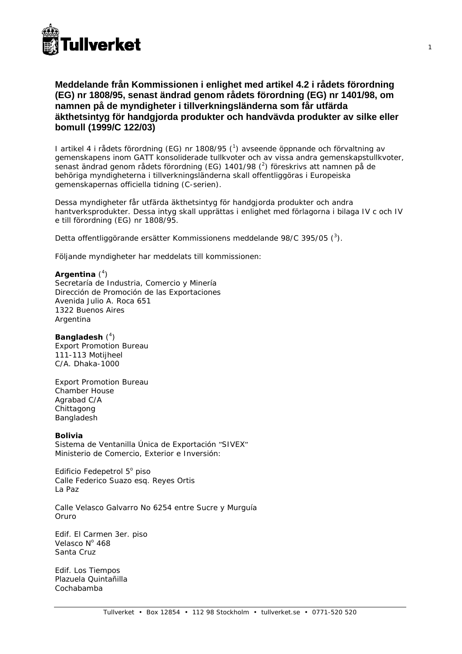

# **Meddelande från Kommissionen i enlighet med artikel 4.2 i rådets förordning (EG) nr 1808/95, senast ändrad genom rådets förordning (EG) nr 1401/98, om namnen på de myndigheter i tillverkningsländerna som får utfärda äkthetsintyg för handgjorda produkter och handvävda produkter av silke eller bomull (1999/C 122/03)**

I artikel 4 i rådets förordning (EG) nr 1808/95 (<sup>1</sup>) avseende öppnande och förvaltning av gemenskapens inom GATT konsoliderade tullkvoter och av vissa andra gemenskapstullkvoter, senast ändrad genom rådets förordning (EG) 1401/98  $(^2)$  föreskrivs att namnen på de behöriga myndigheterna i tillverkningsländerna skall offentliggöras i *Europeiska gemenskapernas officiella tidning* (C-serien).

Dessa myndigheter får utfärda äkthetsintyg för handgjorda produkter och andra hantverksprodukter. Dessa intyg skall upprättas i enlighet med förlagorna i bilaga IV c och IV e till förordning (EG) nr 1808/95.

Detta offentliggörande ersätter Kommissionens meddelande 98/C 395/05 (3).

Följande myndigheter har meddelats till kommissionen:

# Argentina<sup>(4)</sup>

Secretaría de Industria, Comercio y Minería Dirección de Promoción de las Exportaciones Avenida Julio A. Roca 651 1322 Buenos Aires Argentina

Bangladesh<sup>(4)</sup> Export Promotion Bureau 111-113 Motijheel C/A. Dhaka-1000

Export Promotion Bureau Chamber House Agrabad C/A Chittagong Bangladesh

# **Bolivia**

Sistema de Ventanilla Única de Exportación "SIVEX" Ministerio de Comercio, Exterior e Inversión:

Edificio Fedepetrol 5º piso Calle Federico Suazo esq. Reyes Ortis La Paz

Calle Velasco Galvarro No 6254 entre Sucre y Murguía Oruro

Edif. El Carmen 3er. piso Velasco Nº 468 Santa Cruz

Edif. Los Tiempos Plazuela Quintañilla Cochabamba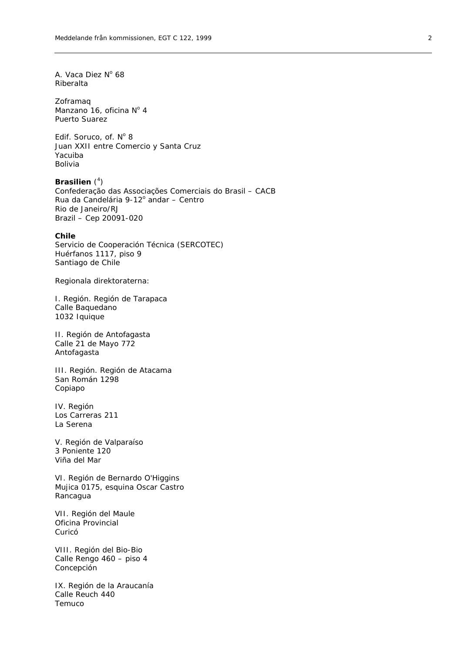A. Vaca Diez Nº 68 Riberalta

Zoframaq Manzano 16, oficina  $N^{\circ}$  4 Puerto Suarez

Edif. Soruco, of.  $N^{\circ}$  8 Juan XXII entre Comercio y Santa Cruz Yacuiba Bolivia

Brasilien (<sup>4</sup>) Confederação das Associações Comerciais do Brasil – CACB Rua da Candelária 9-12° andar - Centro Rio de Janeiro/RJ Brazil – Cep 20091-020

### **Chile**

Servicio de Cooperación Técnica (SERCOTEC) Huérfanos 1117, piso 9 Santiago de Chile

*Regionala direktoraterna:* 

I. Región. Región de Tarapaca Calle Baquedano 1032 Iquique

II. Región de Antofagasta Calle 21 de Mayo 772 Antofagasta

III. Región. Región de Atacama San Román 1298 Copiapo

IV. Región Los Carreras 211 La Serena

V. Región de Valparaíso 3 Poniente 120 Viña del Mar

VI. Región de Bernardo O'Higgins Mujica 0175, esquina Oscar Castro Rancagua

VII. Región del Maule Oficina Provincial Curicó

VIII. Región del Bio-Bio Calle Rengo 460 – piso 4 Concepción

IX. Región de la Araucanía Calle Reuch 440 Temuco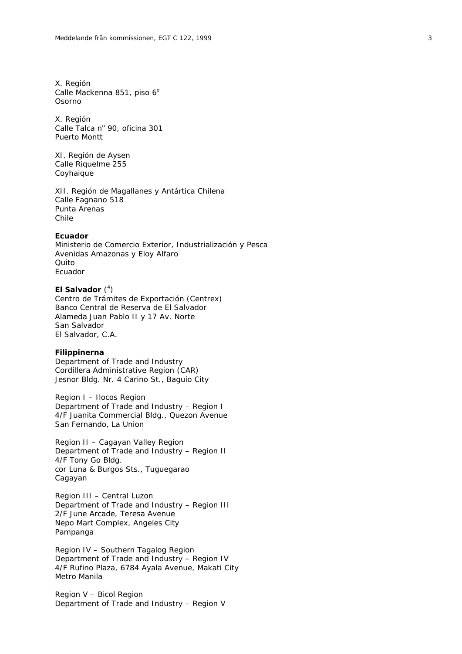X. Región Calle Mackenna 851, piso 6° Osorno

X. Región Calle Talca nº 90, oficina 301 Puerto Montt

XI. Región de Aysen Calle Riquelme 255 Coyhaique

XII. Región de Magallanes y Antártica Chilena Calle Fagnano 518 Punta Arenas Chile

### **Ecuador**

Ministerio de Comercio Exterior, Industrialización y Pesca Avenidas Amazonas y Eloy Alfaro Quito Ecuador

## El Salvador (<sup>4</sup>)

Centro de Trámites de Exportación (Centrex) Banco Central de Reserva de El Salvador Alameda Juan Pablo II y 17 Av. Norte San Salvador El Salvador, C.A.

#### **Filippinerna**

Department of Trade and Industry Cordillera Administrative Region (CAR) Jesnor Bldg. Nr. 4 Carino St., Baguio City

Region I – Ilocos Region Department of Trade and Industry – Region I 4/F Juanita Commercial Bldg., Quezon Avenue San Fernando, La Union

Region II – Cagayan Valley Region Department of Trade and Industry – Region II 4/F Tony Go Bldg. cor Luna & Burgos Sts., Tuguegarao Cagayan

Region III – Central Luzon Department of Trade and Industry – Region III 2/F June Arcade, Teresa Avenue Nepo Mart Complex, Angeles City Pampanga

Region IV – Southern Tagalog Region Department of Trade and Industry – Region IV 4/F Rufino Plaza, 6784 Ayala Avenue, Makati City Metro Manila

Region V – Bicol Region Department of Trade and Industry – Region V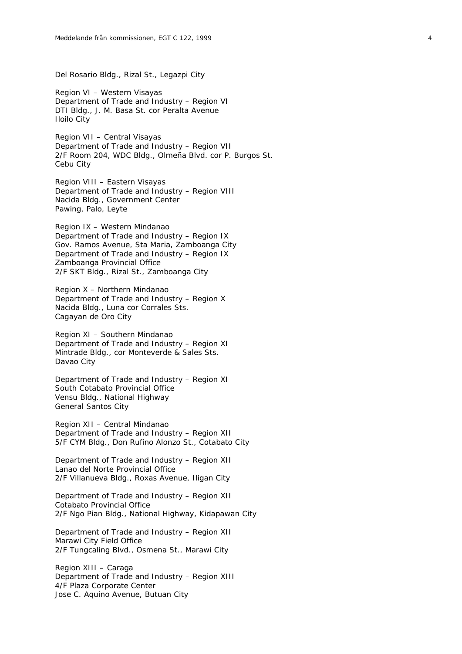Del Rosario Bldg., Rizal St., Legazpi City

Region VI – Western Visayas Department of Trade and Industry – Region VI DTI Bldg., J. M. Basa St. cor Peralta Avenue Iloilo City

Region VII – Central Visayas Department of Trade and Industry – Region VII 2/F Room 204, WDC Bldg., Olmeña Blvd. cor P. Burgos St. Cebu City

Region VIII – Eastern Visayas Department of Trade and Industry – Region VIII Nacida Bldg., Government Center Pawing, Palo, Leyte

Region IX – Western Mindanao Department of Trade and Industry – Region IX Gov. Ramos Avenue, Sta Maria, Zamboanga City Department of Trade and Industry – Region IX Zamboanga Provincial Office 2/F SKT Bldg., Rizal St., Zamboanga City

Region X – Northern Mindanao Department of Trade and Industry – Region X Nacida Bldg., Luna cor Corrales Sts. Cagayan de Oro City

Region XI – Southern Mindanao Department of Trade and Industry – Region XI Mintrade Bldg., cor Monteverde & Sales Sts. Davao City

Department of Trade and Industry – Region XI South Cotabato Provincial Office Vensu Bldg., National Highway General Santos City

Region XII – Central Mindanao Department of Trade and Industry – Region XII 5/F CYM Bldg., Don Rufino Alonzo St., Cotabato City

Department of Trade and Industry – Region XII Lanao del Norte Provincial Office 2/F Villanueva Bldg., Roxas Avenue, Iligan City

Department of Trade and Industry – Region XII Cotabato Provincial Office 2/F Ngo Pian Bldg., National Highway, Kidapawan City

Department of Trade and Industry – Region XII Marawi City Field Office 2/F Tungcaling Blvd., Osmena St., Marawi City

Region XIII – Caraga Department of Trade and Industry – Region XIII 4/F Plaza Corporate Center Jose C. Aquino Avenue, Butuan City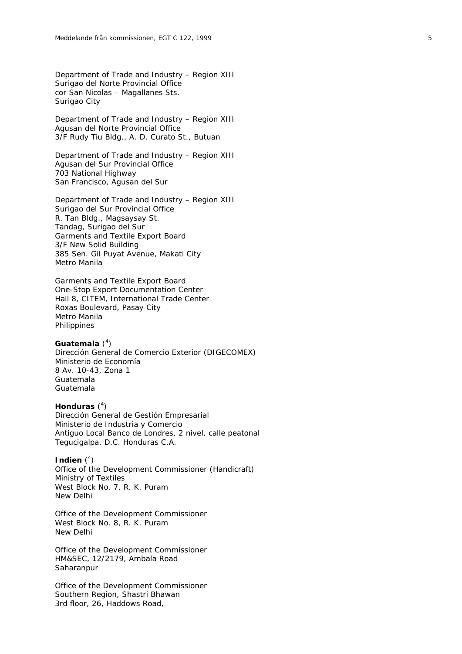Department of Trade and Industry – Region XIII Surigao del Norte Provincial Office cor San Nicolas – Magallanes Sts. Surigao City

Department of Trade and Industry – Region XIII Agusan del Norte Provincial Office 3/F Rudy Tiu Bldg., A. D. Curato St., Butuan

Department of Trade and Industry – Region XIII Agusan del Sur Provincial Office 703 National Highway San Francisco, Agusan del Sur

Department of Trade and Industry – Region XIII Surigao del Sur Provincial Office R. Tan Bldg., Magsaysay St. Tandag, Surigao del Sur Garments and Textile Export Board 3/F New Solid Building 385 Sen. Gil Puyat Avenue, Makati City Metro Manila

Garments and Textile Export Board One-Stop Export Documentation Center Hall 8, CITEM, International Trade Center Roxas Boulevard, Pasay City Metro Manila Philippines

# Guatemala<sup>(4)</sup>

Dirección General de Comercio Exterior (DIGECOMEX) Ministerio de Economía 8 Av. 10-43, Zona 1 Guatemala Guatemala

# **Honduras** ( 4 )

Dirección General de Gestión Empresarial Ministerio de Industria y Comercio Antiguo Local Banco de Londres, 2 nivel, calle peatonal Tegucigalpa, D.C. Honduras C.A.

# **Indien**  $(^4)$

Office of the Development Commissioner (Handicraft) Ministry of Textiles West Block No. 7, R. K. Puram New Delhi

Office of the Development Commissioner West Block No. 8, R. K. Puram New Delhi

Office of the Development Commissioner HM&SEC, 12/2179, Ambala Road **Saharanpur** 

Office of the Development Commissioner Southern Region, Shastri Bhawan 3rd floor, 26, Haddows Road,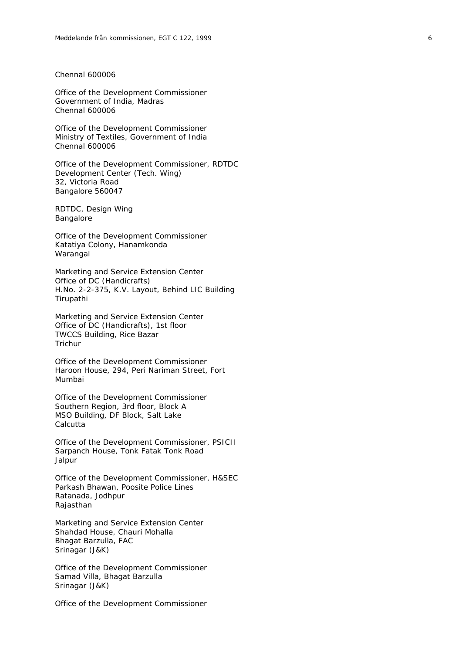### Chennal 600006

Office of the Development Commissioner Government of India, Madras Chennal 600006

Office of the Development Commissioner Ministry of Textiles, Government of India Chennal 600006

Office of the Development Commissioner, RDTDC Development Center (Tech. Wing) 32, Victoria Road Bangalore 560047

RDTDC, Design Wing Bangalore

Office of the Development Commissioner Katatiya Colony, Hanamkonda Warangal

Marketing and Service Extension Center Office of DC (Handicrafts) H.No. 2-2-375, K.V. Layout, Behind LIC Building Tirupathi

Marketing and Service Extension Center Office of DC (Handicrafts), 1st floor TWCCS Building, Rice Bazar Trichur

Office of the Development Commissioner Haroon House, 294, Peri Nariman Street, Fort Mumbai

Office of the Development Commissioner Southern Region, 3rd floor, Block A MSO Building, DF Block, Salt Lake **Calcutta** 

Office of the Development Commissioner, PSICII Sarpanch House, Tonk Fatak Tonk Road Jalpur

Office of the Development Commissioner, H&SEC Parkash Bhawan, Poosite Police Lines Ratanada, Jodhpur Rajasthan

Marketing and Service Extension Center Shahdad House, Chauri Mohalla Bhagat Barzulla, FAC Srinagar (J&K)

Office of the Development Commissioner Samad Villa, Bhagat Barzulla Srinagar (J&K)

Office of the Development Commissioner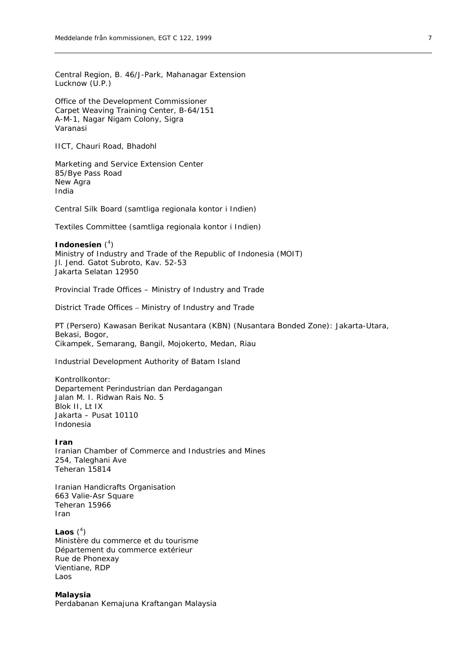Central Region, B. 46/J-Park, Mahanagar Extension Lucknow (U.P.)

Office of the Development Commissioner Carpet Weaving Training Center, B-64/151 A-M-1, Nagar Nigam Colony, Sigra Varanasi

IICT, Chauri Road, Bhadohl

Marketing and Service Extension Center 85/Bye Pass Road New Agra India

Central Silk Board (samtliga regionala kontor i Indien)

Textiles Committee (samtliga regionala kontor i Indien)

Indonesien<sup>(4)</sup> Ministry of Industry and Trade of the Republic of Indonesia (MOIT) Jl. Jend. Gatot Subroto, Kav. 52-53 Jakarta Selatan 12950

Provincial Trade Offices – Ministry of Industry and Trade

District Trade Offices – Ministry of Industry and Trade

PT (Persero) Kawasan Berikat Nusantara (KBN) (Nusantara Bonded Zone): Jakarta-Utara, Bekasi, Bogor, Cikampek, Semarang, Bangil, Mojokerto, Medan, Riau

Industrial Development Authority of Batam Island

*Kontrollkontor*: Departement Perindustrian dan Perdagangan Jalan M. I. Ridwan Rais No. 5 Blok II, Lt IX Jakarta – Pusat 10110 Indonesia

**Iran**  Iranian Chamber of Commerce and Industries and Mines 254, Taleghani Ave Teheran 15814

Iranian Handicrafts Organisation 663 Valie-Asr Square Teheran 15966 Iran

Laos  $(^4)$ Ministère du commerce et du tourisme Département du commerce extérieur Rue de Phonexay Vientiane, RDP Laos

**Malaysia**  Perdabanan Kemajuna Kraftangan Malaysia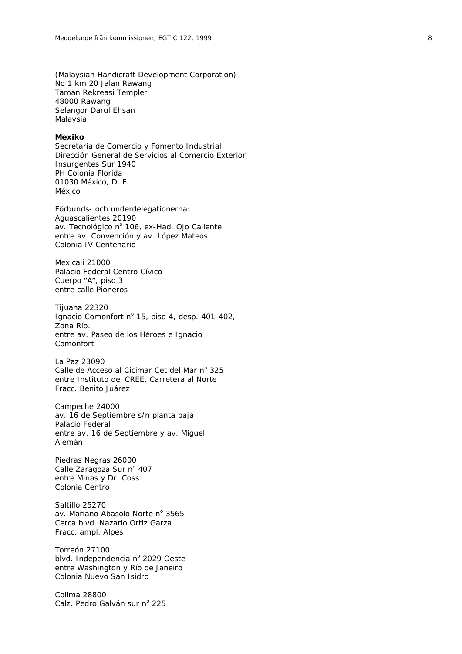(Malaysian Handicraft Development Corporation) No 1 km 20 Jalan Rawang Taman Rekreasi Templer 48000 Rawang Selangor Darul Ehsan Malaysia

#### **Mexiko**

Secretaría de Comercio y Fomento Industrial Dirección General de Servicios al Comercio Exterior Insurgentes Sur 1940 PH Colonia Florida 01030 México, D. F. México

*Förbunds- och underdelegationerna:*  Aguascalientes 20190 av. Tecnológico nº 106, ex-Had. Ojo Caliente entre av. Convención y av. López Mateos Colonia IV Centenario

Mexicali 21000 Palacio Federal Centro Cívico Cuerpo " A ", piso 3 entre calle Pioneros

Tijuana 22320 Ignacio Comonfort nº 15, piso 4, desp. 401-402, Zona Río. entre av. Paseo de los Héroes e Ignacio Comonfort

La Paz 23090 Calle de Acceso al Cicimar Cet del Mar nº 325 entre Instituto del CREE, Carretera al Norte Fracc. Benito Juárez

Campeche 24000 av. 16 de Septiembre s/n planta baja Palacio Federal entre av. 16 de Septiembre y av. Miguel Alemán

Piedras Negras 26000 Calle Zaragoza Sur nº 407 entre Minas y Dr. Coss. Colonia Centro

Saltillo 25270 av. Mariano Abasolo Norte nº 3565 Cerca blvd. Nazario Ortiz Garza Fracc. ampl. Alpes

Torreón 27100 blvd. Independencia nº 2029 Oeste entre Washington y Río de Janeiro Colonia Nuevo San Isidro

Colima 28800 Calz. Pedro Galván sur nº 225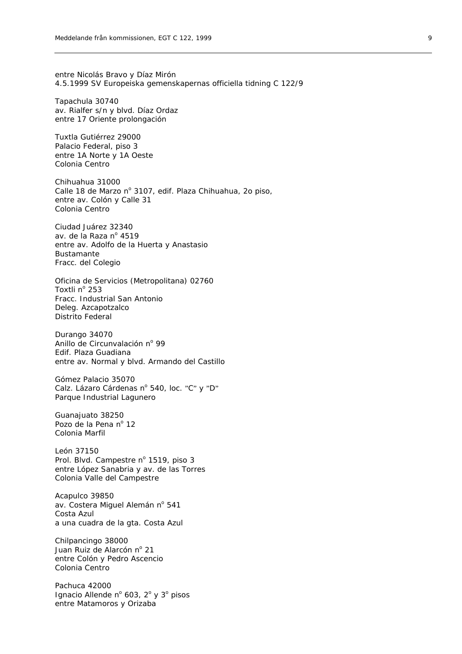entre Nicolás Bravo y Díaz Mirón 4.5.1999 SV Europeiska gemenskapernas officiella tidning C 122/9

Tapachula 30740 av. Rialfer s/n y blvd. Díaz Ordaz entre 17 Oriente prolongación

Tuxtla Gutiérrez 29000 Palacio Federal, piso 3 entre 1A Norte y 1A Oeste Colonia Centro

Chihuahua 31000 Calle 18 de Marzo nº 3107, edif. Plaza Chihuahua, 20 piso, entre av. Colón y Calle 31 Colonia Centro

Ciudad Juárez 32340 av. de la Raza nº 4519 entre av. Adolfo de la Huerta y Anastasio Bustamante Fracc. del Colegio

Oficina de Servicios (Metropolitana) 02760 Toxtli nº 253 Fracc. Industrial San Antonio Deleg. Azcapotzalco Distrito Federal

Durango 34070 Anillo de Circunvalación nº 99 Edif. Plaza Guadiana entre av. Normal y blvd. Armando del Castillo

Gómez Palacio 35070 Calz. Lázaro Cárdenas nº 540, loc. "C" y "D" Parque Industrial Lagunero

Guanajuato 38250 Pozo de la Pena nº 12 Colonia Marfil

León 37150 Prol. Blvd. Campestre nº 1519, piso 3 entre López Sanabria y av. de las Torres Colonia Valle del Campestre

Acapulco 39850 av. Costera Miguel Alemán nº 541 Costa Azul a una cuadra de la gta. Costa Azul

Chilpancingo 38000 Juan Ruiz de Alarcón nº 21 entre Colón y Pedro Ascencio Colonia Centro

Pachuca 42000 Ignacio Allende nº 603, 2º y 3º pisos entre Matamoros y Orizaba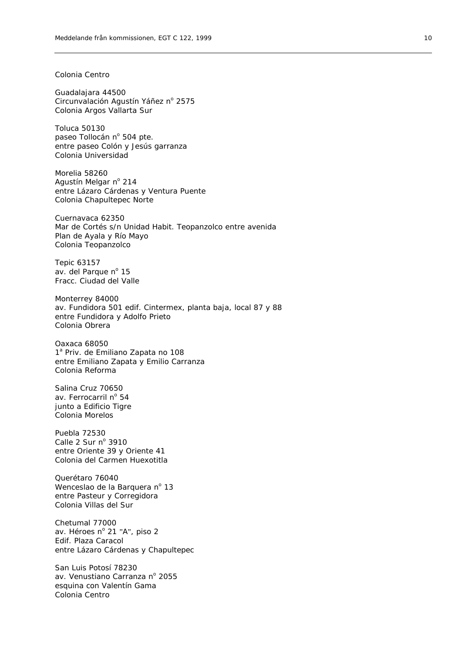### Colonia Centro

Guadalajara 44500 Circunvalación Agustín Yáñez nº 2575 Colonia Argos Vallarta Sur

Toluca 50130 paseo Tollocán nº 504 pte. entre paseo Colón y Jesús garranza Colonia Universidad

Morelia 58260 Agustín Melgar nº 214 entre Lázaro Cárdenas y Ventura Puente Colonia Chapultepec Norte

Cuernavaca 62350 Mar de Cortés s/n Unidad Habit. Teopanzolco entre avenida Plan de Ayala y Río Mayo Colonia Teopanzolco

Tepic 63157 av. del Parque nº 15 Fracc. Ciudad del Valle

Monterrey 84000 av. Fundidora 501 edif. Cintermex, planta baja, local 87 y 88 entre Fundidora y Adolfo Prieto Colonia Obrera

Oaxaca 68050 1<sup>ª</sup> Priv. de Emiliano Zapata no 108 entre Emiliano Zapata y Emilio Carranza Colonia Reforma

Salina Cruz 70650 av. Ferrocarril nº 54 junto a Edificio Tigre Colonia Morelos

Puebla 72530 Calle  $2$  Sur n° 3910 entre Oriente 39 y Oriente 41 Colonia del Carmen Huexotitla

Querétaro 76040 Wenceslao de la Barquera nº 13 entre Pasteur y Corregidora Colonia Villas del Sur

Chetumal 77000 av. Héroes nº 21 "A", piso 2 Edif. Plaza Caracol entre Lázaro Cárdenas y Chapultepec

San Luis Potosí 78230 av. Venustiano Carranza nº 2055 esquina con Valentín Gama Colonia Centro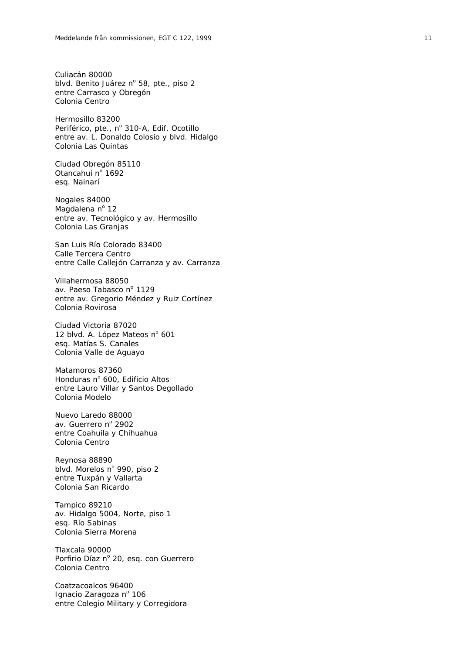Culiacán 80000 blvd. Benito Juárez nº 58, pte., piso 2 entre Carrasco y Obregón Colonia Centro

Hermosillo 83200 Periférico, pte., nº 310-A, Edif. Ocotillo entre av. L. Donaldo Colosio y blvd. Hidalgo Colonia Las Quintas

Ciudad Obregón 85110 Otancahuí nº 1692 esq. Nainarí

Nogales 84000 Magdalena nº 12 entre av. Tecnológico y av. Hermosillo Colonia Las Granjas

San Luis Río Colorado 83400 Calle Tercera Centro entre Calle Callejón Carranza y av. Carranza

Villahermosa 88050 av. Paeso Tabasco nº 1129 entre av. Gregorio Méndez y Ruiz Cortínez Colonia Rovirosa

Ciudad Victoria 87020 12 blvd. A. López Mateos nº 601 esq. Matías S. Canales Colonia Valle de Aguayo

Matamoros 87360 Honduras nº 600, Edificio Altos entre Lauro Villar y Santos Degollado Colonia Modelo

Nuevo Laredo 88000 av. Guerrero nº 2902 entre Coahuila y Chihuahua Colonia Centro

Reynosa 88890 blvd. Morelos nº 990, piso 2 entre Tuxpán y Vallarta Colonia San Ricardo

Tampico 89210 av. Hidalgo 5004, Norte, piso 1 esq. Río Sabinas Colonia Sierra Morena

Tlaxcala 90000 Porfirio Díaz nº 20, esq. con Guerrero Colonia Centro

Coatzacoalcos 96400 Ignacio Zaragoza nº 106 entre Colegio Military y Corregidora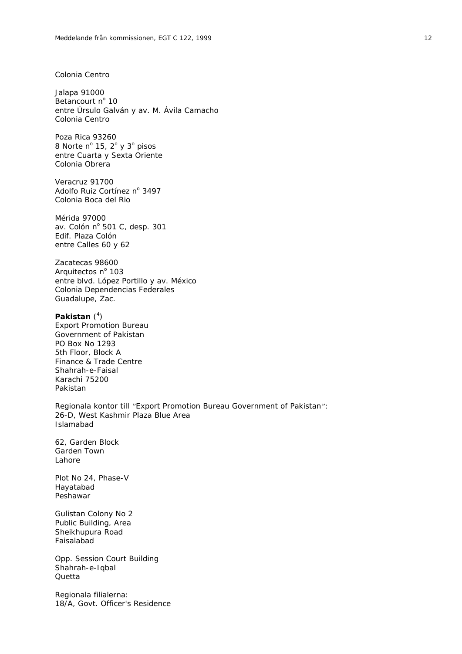### Colonia Centro

Jalapa 91000 Betancourt nº 10 entre Úrsulo Galván y av. M. Ávila Camacho Colonia Centro

Poza Rica 93260 8 Norte nº 15,  $2^{\circ}$  y  $3^{\circ}$  pisos entre Cuarta y Sexta Oriente Colonia Obrera

Veracruz 91700 Adolfo Ruiz Cortínez nº 3497 Colonia Boca del Rio

Mérida 97000 av. Colón nº 501 C, desp. 301 Edif. Plaza Colón entre Calles 60 y 62

Zacatecas 98600 Arquitectos nº 103 entre blvd. López Portillo y av. México Colonia Dependencias Federales Guadalupe, Zac.

### Pakistan (<sup>4</sup>)

Export Promotion Bureau Government of Pakistan PO Box No 1293 5th Floor, Block A Finance & Trade Centre Shahrah-e-Faisal Karachi 75200 Pakistan

*Regionala kontor till "Export Promotion Bureau Government of Pakistan":*  26-D, West Kashmir Plaza Blue Area Islamabad

62, Garden Block Garden Town Lahore

Plot No 24, Phase-V Hayatabad Peshawar

Gulistan Colony No 2 Public Building, Area Sheikhupura Road Faisalabad

Opp. Session Court Building Shahrah-e-Iqbal **Quetta** 

*Regionala filialerna:*  18/A, Govt. Officer's Residence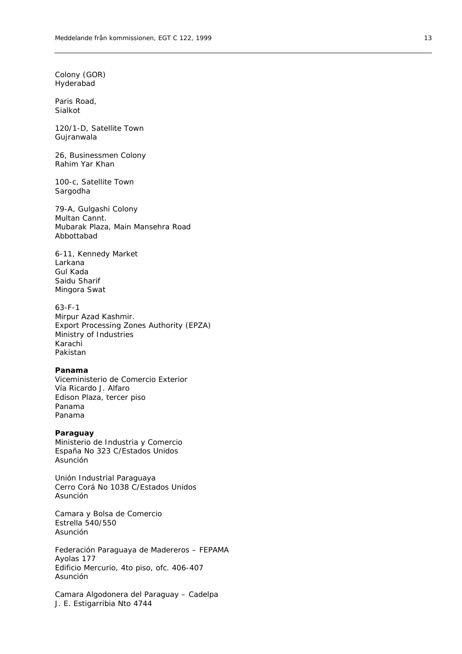Colony (GOR) Hyderabad

Paris Road, Sialkot

120/1-D, Satellite Town Gujranwala

26, Businessmen Colony Rahim Yar Khan

100-c, Satellite Town Sargodha

79-A, Gulgashi Colony Multan Cannt. Mubarak Plaza, Main Mansehra Road Abbottabad

6-11, Kennedy Market Larkana Gul Kada Saidu Sharif Mingora Swat

63-F-1 Mirpur Azad Kashmir. Export Processing Zones Authority (EPZA) Ministry of Industries Karachi Pakistan

# **Panama**

Viceministerio de Comercio Exterior Vía Ricardo J. Alfaro Edison Plaza, tercer piso Panama Panama

#### **Paraguay**

Ministerio de Industria y Comercio España No 323 C/Estados Unidos Asunción

Unión Industrial Paraguaya Cerro Corá No 1038 C/Estados Unidos Asunción

Camara y Bolsa de Comercio Estrella 540/550 Asunción

Federación Paraguaya de Madereros – FEPAMA Ayolas 177 Edificio Mercurio, 4to piso, ofc. 406-407 Asunción

Camara Algodonera del Paraguay – Cadelpa J. E. Estigarribia Nto 4744